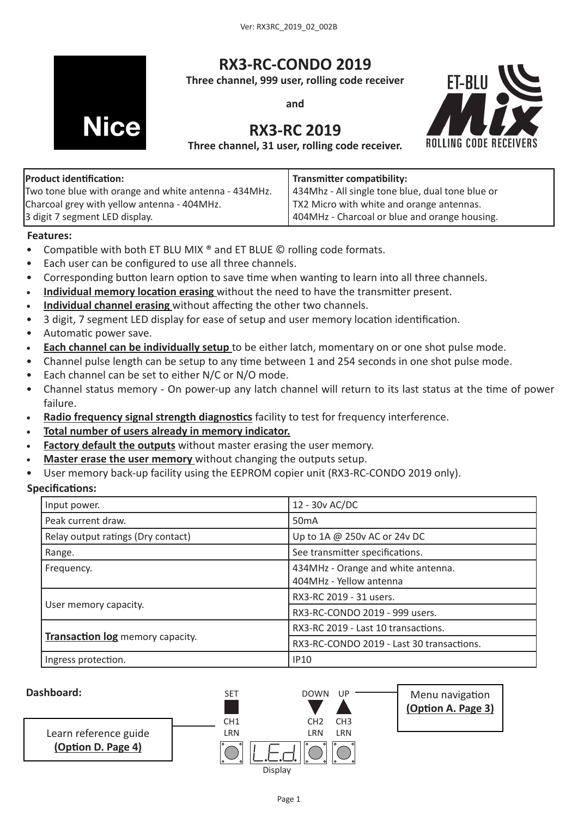

# **RX3-RC-CONDO 2019**

**Three channel, 999 user, rolling code receiver**

**and**

# **RX3-RC 2019**

**ET-BLU ROLLING CODE RE** 

**Three channel, 31 user, rolling code receiver.** 

| <b>Product identification:</b>                        | <b>Transmitter compatibility:</b>                |
|-------------------------------------------------------|--------------------------------------------------|
| Two tone blue with orange and white antenna - 434MHz. | 434Mhz - All single tone blue, dual tone blue or |
| Charcoal grey with yellow antenna - 404MHz.           | TX2 Micro with white and orange antennas.        |
| 3 digit 7 segment LED display.                        | 404MHz - Charcoal or blue and orange housing.    |

#### **Features:**

- Compatible with both ET BLU MIX ® and ET BLUE © rolling code formats.
- Each user can be configured to use all three channels.
- Corresponding button learn option to save time when wanting to learn into all three channels.
- [Individual memory location erasing](#page-4-0) without the need to have the transmitter present.
- • **[Individual channel erasing](#page-4-1)** without affecting the other two channels.
- 3 digit, 7 segment LED display for ease of setup and user memory location identification.
- • Automatic power save.
- **Each channel can be individually setup** to be either latch, momentary on or one shot pulse mode.
- Channel pulse length can be setup to any time between 1 and 254 seconds in one shot pulse mode.
- Each channel can be set to either N/C or N/O mode.
- • Channel status memory On power-up any latch channel will return to its last status at the time of power failure.
- • **[Radio frequency signal strength diagnostics](#page-5-0)** facility to test for frequency interference.
- • **[Total number of users already in memory indicator.](#page-6-0)**
- **[Factory default the outputs](#page-2-0)** without master erasing the user memory.
- **Master erase the user memory** without changing the outputs setup.
- User memory back-up facility using the EEPROM copier unit (RX3-RC-CONDO 2019 only).

#### **Specifications:**

| Input power.                            | 12 - 30v AC/DC                                                |
|-----------------------------------------|---------------------------------------------------------------|
| Peak current draw.                      | 50 <sub>m</sub> A                                             |
| Relay output ratings (Dry contact)      | Up to 1A @ 250v AC or 24v DC                                  |
| Range.                                  | See transmitter specifications.                               |
| Frequency.                              | 434MHz - Orange and white antenna.<br>404MHz - Yellow antenna |
|                                         | RX3-RC 2019 - 31 users.                                       |
| User memory capacity.                   | RX3-RC-CONDO 2019 - 999 users.                                |
|                                         | RX3-RC 2019 - Last 10 transactions.                           |
| <b>Transaction log</b> memory capacity. | RX3-RC-CONDO 2019 - Last 30 transactions.                     |
| Ingress protection.                     | <b>IP10</b>                                                   |

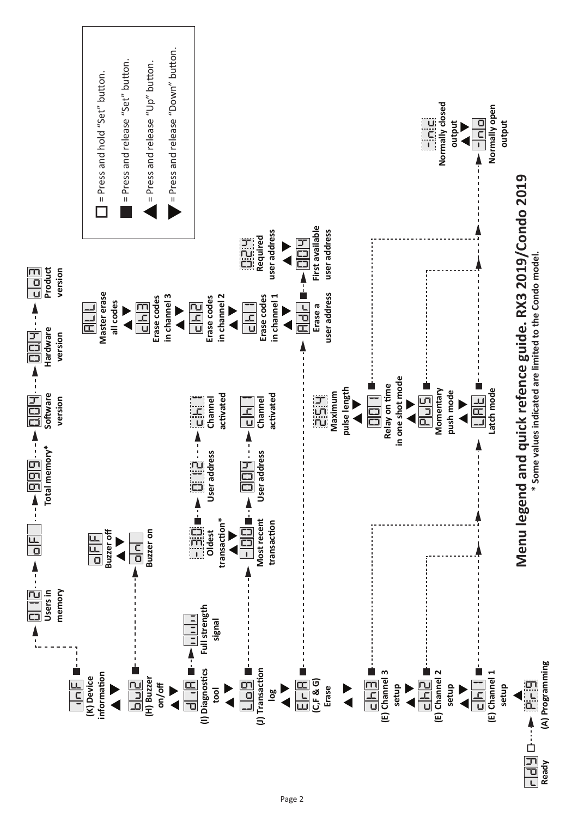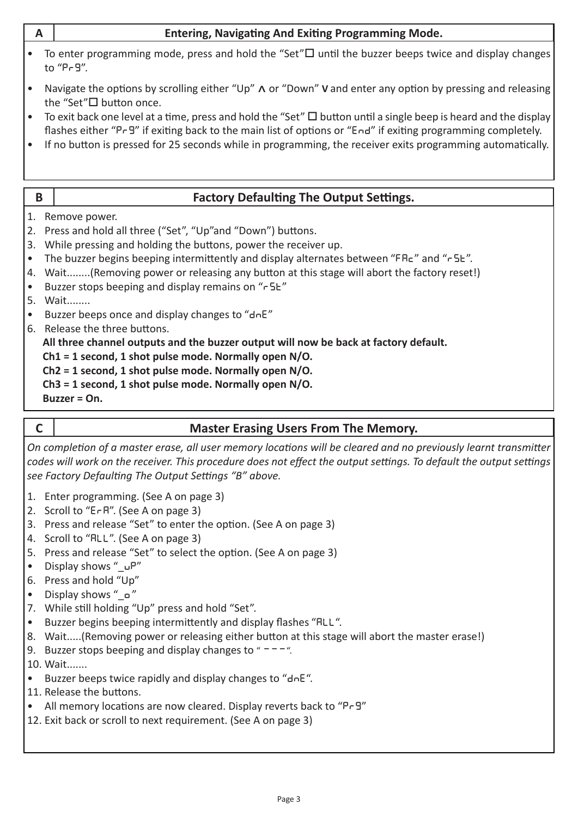<span id="page-2-2"></span><span id="page-2-0"></span>

| $\mathsf{A}$                                          |                                                                                                                                                                                                                                                                                                                                                                                                                                                                                                                                                                                                                                                                                                                                                                                  | <b>Entering, Navigating And Exiting Programming Mode.</b>                                                                    |  |  |  |
|-------------------------------------------------------|----------------------------------------------------------------------------------------------------------------------------------------------------------------------------------------------------------------------------------------------------------------------------------------------------------------------------------------------------------------------------------------------------------------------------------------------------------------------------------------------------------------------------------------------------------------------------------------------------------------------------------------------------------------------------------------------------------------------------------------------------------------------------------|------------------------------------------------------------------------------------------------------------------------------|--|--|--|
|                                                       |                                                                                                                                                                                                                                                                                                                                                                                                                                                                                                                                                                                                                                                                                                                                                                                  | To enter programming mode, press and hold the "Set" $\square$ until the buzzer beeps twice and display changes<br>to "Pr 9". |  |  |  |
| $\bullet$                                             | Navigate the options by scrolling either "Up" $\wedge$ or "Down" V and enter any option by pressing and releasing<br>the "Set"□ button once.                                                                                                                                                                                                                                                                                                                                                                                                                                                                                                                                                                                                                                     |                                                                                                                              |  |  |  |
| $\bullet$<br>$\bullet$                                | To exit back one level at a time, press and hold the "Set" $\Box$ button until a single beep is heard and the display<br>flashes either "P-9" if exiting back to the main list of options or "End" if exiting programming completely.<br>If no button is pressed for 25 seconds while in programming, the receiver exits programming automatically.                                                                                                                                                                                                                                                                                                                                                                                                                              |                                                                                                                              |  |  |  |
|                                                       |                                                                                                                                                                                                                                                                                                                                                                                                                                                                                                                                                                                                                                                                                                                                                                                  |                                                                                                                              |  |  |  |
| B                                                     |                                                                                                                                                                                                                                                                                                                                                                                                                                                                                                                                                                                                                                                                                                                                                                                  | <b>Factory Defaulting The Output Settings.</b>                                                                               |  |  |  |
| 2.<br>3.<br>$\bullet$<br>4.<br>$\bullet$<br>$\bullet$ | 1. Remove power.<br>Press and hold all three ("Set", "Up"and "Down") buttons.<br>While pressing and holding the buttons, power the receiver up.<br>The buzzer begins beeping intermittently and display alternates between "FRE" and "r5E".<br>Wait(Removing power or releasing any button at this stage will abort the factory reset!)<br>Buzzer stops beeping and display remains on "r 5L"<br>5. Wait<br>Buzzer beeps once and display changes to "dnE"<br>6. Release the three buttons.<br>All three channel outputs and the buzzer output will now be back at factory default.<br>$Ch1 = 1$ second, 1 shot pulse mode. Normally open N/O.<br>Ch2 = 1 second, 1 shot pulse mode. Normally open N/O.<br>Ch3 = 1 second, 1 shot pulse mode. Normally open N/O.<br>Buzzer = On. |                                                                                                                              |  |  |  |
|                                                       |                                                                                                                                                                                                                                                                                                                                                                                                                                                                                                                                                                                                                                                                                                                                                                                  |                                                                                                                              |  |  |  |

## <span id="page-2-1"></span>**C Master Erasing Users From The Memory.**

*On completion of a master erase, all user memory locations will be cleared and no previously learnt transmitter codes will work on the receiver. This procedure does not effect the output settings. To default the output settings see Factory Defaulting The Output Settings "B" above.*

- 1. Enter programming. (See A on page 3)
- 2. Scroll to "**era**". (See A on page 3)
- 3. Press and release "Set" to enter the option. (See A on page 3)
- 4. Scroll to "**ALL**". (See A on page 3)
- 5. Press and release "Set" to select the option. (See A on page 3)
- • Display shows "\_**up**"
- 6. Press and hold "Up"
- • Display shows "\_**o** "
- 7. While still holding "Up" press and hold "Set".
- • Buzzer begins beeping intermittently and display flashes "**all**".
- 8. Wait.....(Removing power or releasing either button at this stage will abort the master erase!)
- 9. Buzzer stops beeping and display changes to " $--$ ".
- 10. Wait.......
- • Buzzer beeps twice rapidly and display changes to "**dne**".
- 11. Release the buttons.
- • All memory locations are now cleared. Display reverts back to "**pr9**"
- 12. Exit back or scroll to next requirement. (See A on page 3)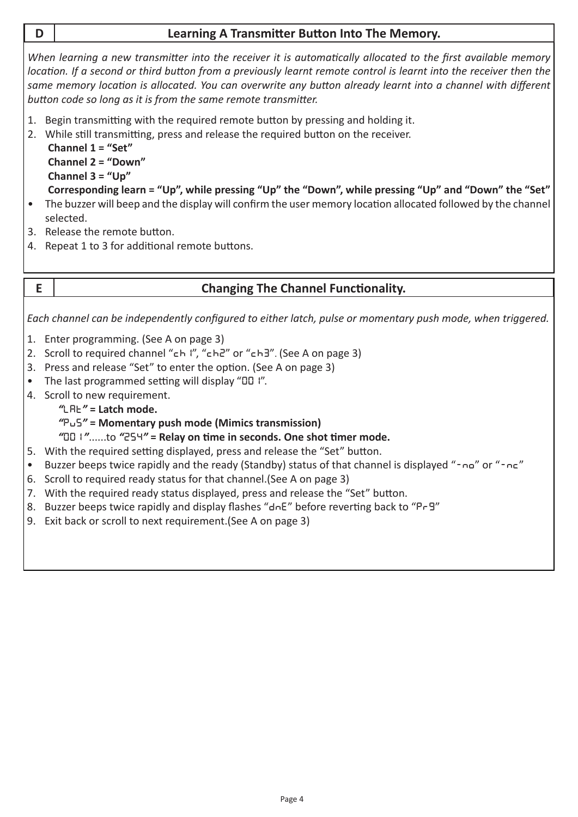## <span id="page-3-1"></span>**D Learning A Transmitter Button Into The Memory.**

*When learning a new transmitter into the receiver it is automatically allocated to the first available memory location. If a second or third button from a previously learnt remote control is learnt into the receiver then the same memory location is allocated. You can overwrite any button already learnt into a channel with different button code so long as it is from the same remote transmitter.*

- 1. Begin transmitting with the required remote button by pressing and holding it.
- 2. While still transmitting, press and release the required button on the receiver.

**Channel 1 = "Set" Channel 2 = "Down" Channel 3 = "Up"** 

- **Corresponding learn = "Up", while pressing "Up" the "Down", while pressing "Up" and "Down" the "Set"**
- The buzzer will beep and the display will confirm the user memory location allocated followed by the channel selected.
- 3. Release the remote button.
- 4. Repeat 1 to 3 for additional remote buttons.

## <span id="page-3-0"></span>**E Changing The Channel Functionality.**

*Each channel can be independently configured to either latch, pulse or momentary push mode, when triggered.*

- 1. Enter programming. (See A on page 3)
- 2. Scroll to required channel "**Ch1**", "**Ch2**" or "**Ch3**". (See A on page 3)
- 3. Press and release "Set" to enter the option. (See A on page 3)
- • The last programmed setting will display "**001**".
- 4. Scroll to new requirement.
	- *"***lat***"* **= Latch mode.**
	- *"***pu5***"* **= Momentary push mode (Mimics transmission)**
	- *"***001** *"*......to *"***254***"* **= Relay on time in seconds. One shot timer mode.**
- 5. With the required setting displayed, press and release the "Set" button.
- • Buzzer beeps twice rapidly and the ready (Standby) status of that channel is displayed "**-no**" or "**-nc**"
- 6. Scroll to required ready status for that channel.(See A on page 3)
- 7. With the required ready status displayed, press and release the "Set" button.
- 8. Buzzer beeps twice rapidly and display flashes "**dne**" before reverting back to "**pr9**"
- 9. Exit back or scroll to next requirement. (See A on page 3)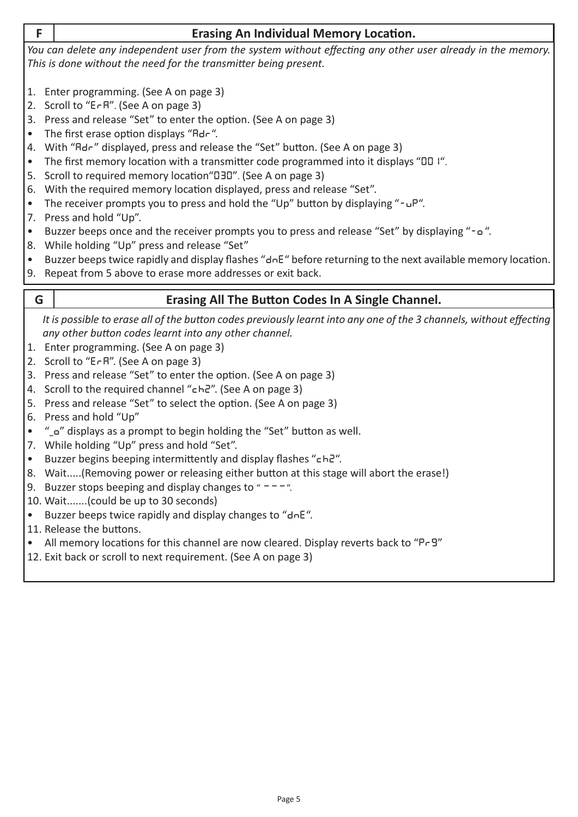<span id="page-4-0"></span>

| _   |
|-----|
| . . |
|     |

#### **F Erasing An Individual Memory Location.**

*You can delete any independent user from the system without effecting any other user already in the memory. This is done without the need for the transmitter being present.* 

- 1. Enter programming. (See A on page 3)
- 2. Scroll to "**era**". (See A on page 3)
- 3. Press and release "Set" to enter the option. (See A on page 3)
- • The first erase option displays "**adr**".
- 4. With "**adr**" displayed, press and release the "Set" button. (See A on page 3)
- The first memory location with a transmitter code programmed into it displays "00 I".
- 5. Scroll to required memory location"**030**". (See A on page 3)
- 6. With the required memory location displayed, press and release "Set".
- • The receiver prompts you to press and hold the "Up" button by displaying "**-up**".
- 7. Press and hold "Up".
- • Buzzer beeps once and the receiver prompts you to press and release "Set" by displaying "**-o** ".
- 8. While holding "Up" press and release "Set"
- • Buzzer beepstwice rapidly and display flashes "**dne**" before returning to the next available memory location.
- 9. Repeat from 5 above to erase more addresses or exit back.

## <span id="page-4-1"></span>**G Erasing All The Button Codes In A Single Channel.**

*It is possible to erase all of the button codes previously learnt into any one of the 3 channels, without effecting any other button codes learnt into any other channel.*

- 1. Enter programming. (See A on page 3)
- 2. Scroll to "**era**". (See A on page 3)
- 3. Press and release "Set" to enter the option. (See A on page 3)
- 4. Scroll to the required channel "**ch2**". (See A on page 3)
- 5. Press and release "Set" to select the option. (See A on page 3)
- 6. Press and hold "Up"
- • "**\_<sup>o</sup>**" displays as a prompt to begin holding the "Set" button as well.
- 7. While holding "Up" press and hold "Set".
- • Buzzer begins beeping intermittently and display flashes "**ch2**".
- 8. Wait.....(Removing power or releasing either button at this stage will abort the erase!)
- 9. Buzzer stops beeping and display changes to " $--$ ".
- 10. Wait.......(could be up to 30 seconds)
- • Buzzer beeps twice rapidly and display changes to "**dne**".
- 11. Release the buttons.
- • All memory locations for this channel are now cleared. Display reverts back to "**pr9**"
- 12. Exit back or scroll to next requirement. (See A on page 3)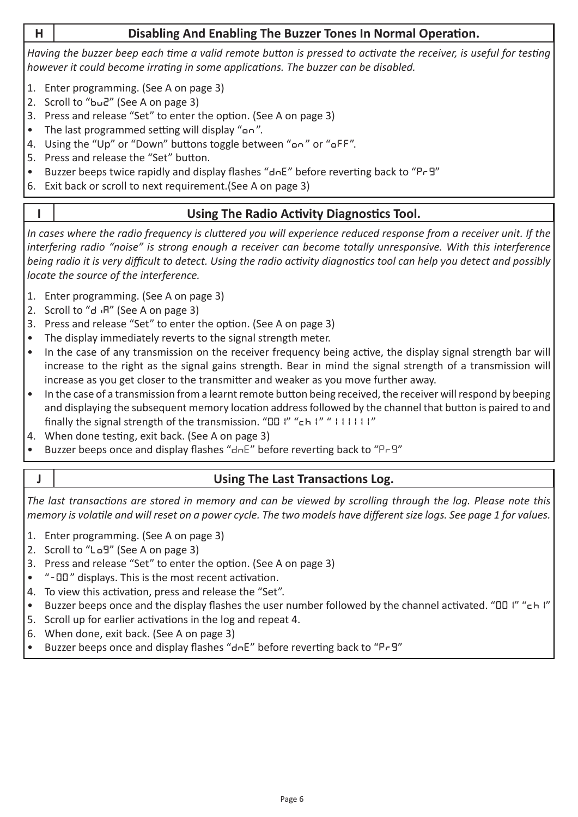## **H Disabling And Enabling The Buzzer Tones In Normal Operation.**

*Having the buzzer beep each time a valid remote button is pressed to activate the receiver, is useful for testing however it could become irrating in some applications. The buzzer can be disabled.*

- 1. Enter programming. (See A on page 3)
- 2. Scroll to "**bu2**" (See A on page 3)
- 3. Press and release "Set" to enter the option. (See A on page 3)
- • The last programmed setting will display "**on** ".
- 4. Using the "Up" or "Down" buttons toggle between "**on** " or "**off**".
- 5. Press and release the "Set" button.
- • Buzzer beeps twice rapidly and display flashes "**dne**" before reverting back to "**pr9**"
- 6. Exit back or scroll to next requirement.(See A on page 3)

## <span id="page-5-0"></span>**I Using The Radio Activity Diagnostics Tool.**

*In cases where the radio frequency is cluttered you will experience reduced response from a receiver unit. If the interfering radio "noise" is strong enough a receiver can become totally unresponsive. With this interference being radio it is very difficult to detect. Using the radio activity diagnostics tool can help you detect and possibly locate the source of the interference.*

- 1. Enter programming. (See A on page 3)
- 2. Scroll to "d<sub>'</sub>R" (See A on page 3)
- 3. Press and release "Set" to enter the option. (See A on page 3)
- The display immediately reverts to the signal strength meter.
- In the case of any transmission on the receiver frequency being active, the display signal strength bar will increase to the right as the signal gains strength. Bear in mind the signal strength of a transmission will increase as you get closer to the transmitter and weaker as you move further away.
- In the case of a transmission from a learnt remote button being received, the receiver will respond by beeping and displaying the subsequent memory location address followed by the channel that button is paired to and finally the signal strength of the transmission. "**001**" "**ch1** " "**111111** "
- 4. When done testing, exit back. (See A on page 3)
- Buzzer beeps once and display flashes " $d \neg E$ " before reverting back to "P $\neg$ "

## <span id="page-5-1"></span>**J Using The Last Transactions Log.**

*The last transactions are stored in memory and can be viewed by scrolling through the log. Please note this memory is volatile and will reset on a power cycle. The two models have different size logs. See page 1 for values.*

- 1. Enter programming. (See A on page 3)
- 2. Scroll to "**lo9**" (See A on page 3)
- 3. Press and release "Set" to enter the option. (See A on page 3)
- • "**-00** " displays. This is the most recent activation.
- 4. To view this activation, press and release the "Set".
- • Buzzer beeps once and the display flashes the user number followed by the channel activated. "**001**" "**ch1**"
- 5. Scroll up for earlier activations in the log and repeat 4.
- 6. When done, exit back. (See A on page 3)
- • Buzzer beeps once and display flashes "**dne**" before reverting back to "**pr9**"

Page 6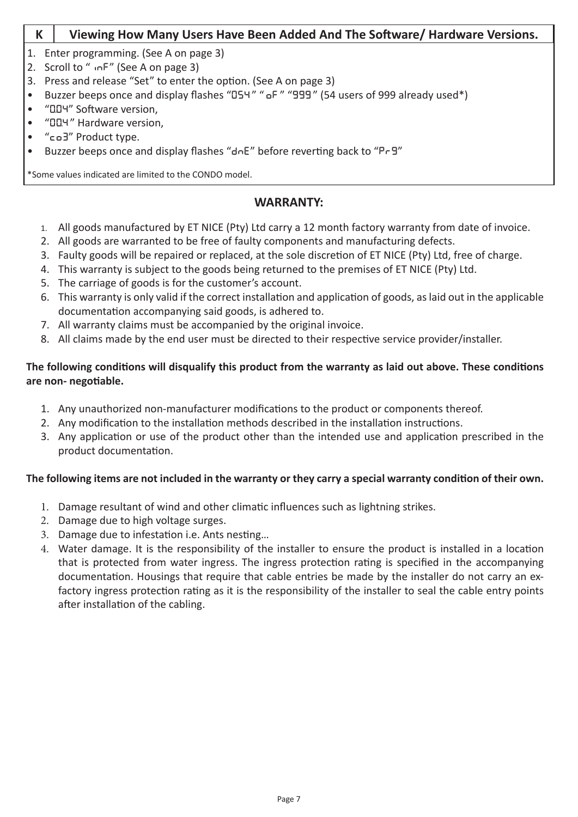#### <span id="page-6-0"></span>**K Viewing How Many Users Have Been Added And The Software/ Hardware Versions.**

- 1. Enter programming. (See A on page 3)
- 2. Scroll to "**inf**" (See A on page 3)
- 3. Press and release "Set" to enter the option. (See A on page 3)
- Buzzer beeps once and display flashes "D54" " oF" "999" (54 users of 999 already used\*)
- • "**0.04**" Software version,
- • "**00.4** " Hardware version,
- • "**co3**" Product type.
- • Buzzer beeps once and display flashes "**dne**" before reverting back to "**pr9**"

\*Some values indicated are limited to the CONDO model.

#### **WARRANTY:**

- 1. All goods manufactured by ET NICE (Pty) Ltd carry a 12 month factory warranty from date of invoice.
- 2. All goods are warranted to be free of faulty components and manufacturing defects.
- 3. Faulty goods will be repaired or replaced, at the sole discretion of ET NICE (Pty) Ltd, free of charge.
- 4. This warranty is subject to the goods being returned to the premises of ET NICE (Pty) Ltd.
- 5. The carriage of goods is for the customer's account.
- 6. This warranty is only valid if the correct installation and application of goods, as laid out in the applicable documentation accompanying said goods, is adhered to.
- 7. All warranty claims must be accompanied by the original invoice.
- 8. All claims made by the end user must be directed to their respective service provider/installer.

#### **The following conditions will disqualify this product from the warranty as laid out above. These conditions are non- negotiable.**

- 1. Any unauthorized non-manufacturer modifications to the product or components thereof.
- 2. Any modification to the installation methods described in the installation instructions.
- 3. Any application or use of the product other than the intended use and application prescribed in the product documentation.

#### **The following items are not included in the warranty or they carry a special warranty condition of their own.**

- 1. Damage resultant of wind and other climatic influences such as lightning strikes.
- 2. Damage due to high voltage surges.
- 3. Damage due to infestation i.e. Ants nesting...
- 4. Water damage. It is the responsibility of the installer to ensure the product is installed in a location that is protected from water ingress. The ingress protection rating is specified in the accompanying documentation. Housings that require that cable entries be made by the installer do not carry an exfactory ingress protection rating as it is the responsibility of the installer to seal the cable entry points after installation of the cabling.